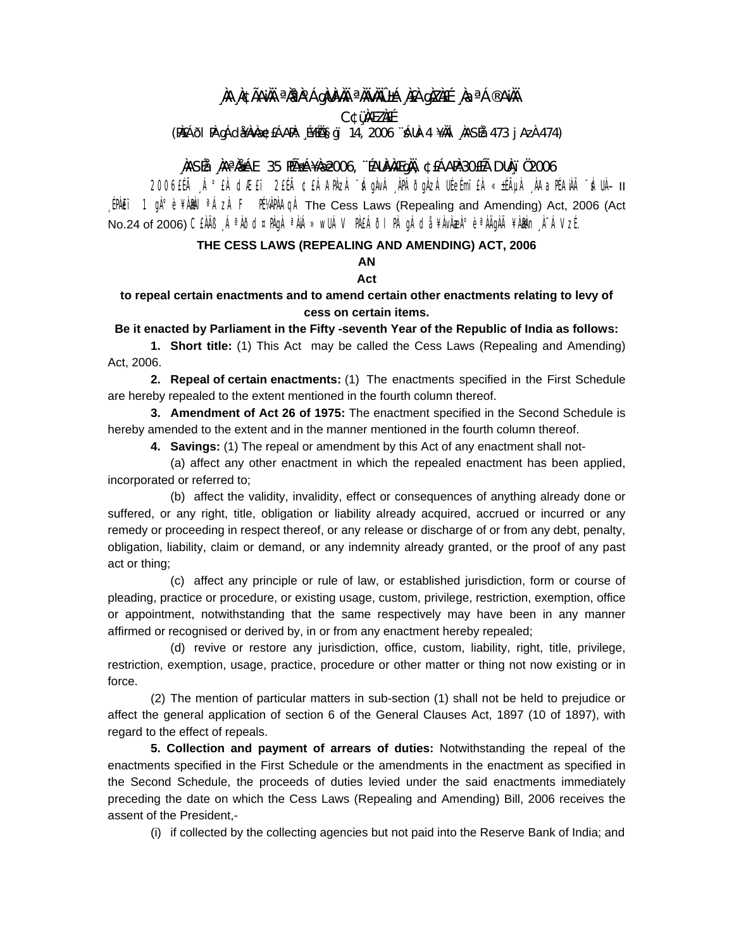# ,NA,NCÃANH <sup>a</sup>NPN^ÁgNUNAH <sup>a</sup>NHVNÚ±Á,NEA gNZNEE ,NaªÁ®ANH

**C¢üMEZNEE** 

(P)EÁði P) gÁdæ)v梣ÁAPI: "Í¥Íѧgï 14, 2006 "ÁU)-4 ¥MI "NASÍå 473 j Az) 474)

## AASÉ AAªA AE 35 HÁSÁ¥A 2006, "EAUA AÆ GA AL 30ELA DUA 102006

2006ELà Á° EÀ CLÆET 2EÉà ¢EÁAPAZA "ÁgÀvÀ "APÁÕgÀZA UÉeÉmi"EÀ «±ÁµÀ "AAƏPÉAÄÄ "ÁUÀ- II [PALET 1  $\mathfrak{g}_1^0$ ° è  $\sharp$ AMEL <sup>a</sup> ÁzA F ITAPAA The Cess Laws (Repealing and Amending) Act, 2006 (Act No.24 of 2006) CEAIB A<sup>a</sup>AÕd¤PAgA <sup>a</sup>AIÁ» WUÁV PAEÁÕI PA gÁda ¥AvAzA° è <sup>a</sup>AIGAI ¥ABAn A-ÁVzE.

### THE CESS LAWS (REPEALING AND AMENDING) ACT, 2006

### AN

### Act

### to repeal certain enactments and to amend certain other enactments relating to levy of cess on certain items.

#### Be it enacted by Parliament in the Fifty -seventh Year of the Republic of India as follows:

1. Short title: (1) This Act may be called the Cess Laws (Repealing and Amending) Act, 2006.

2. Repeal of certain enactments: (1) The enactments specified in the First Schedule are hereby repealed to the extent mentioned in the fourth column thereof.

3. Amendment of Act 26 of 1975: The enactment specified in the Second Schedule is hereby amended to the extent and in the manner mentioned in the fourth column thereof.

4. Savings: (1) The repeal or amendment by this Act of any enactment shall not-

(a) affect any other enactment in which the repealed enactment has been applied, incorporated or referred to;

(b) affect the validity, invalidity, effect or consequences of anything already done or suffered, or any right, title, obligation or liability already acquired, accrued or incurred or any remedy or proceeding in respect thereof, or any release or discharge of or from any debt, penalty, obligation, liability, claim or demand, or any indemnity already granted, or the proof of any past act or thing:

(c) affect any principle or rule of law, or established jurisdiction, form or course of pleading, practice or procedure, or existing usage, custom, privilege, restriction, exemption, office or appointment, notwithstanding that the same respectively may have been in any manner affirmed or recognised or derived by, in or from any enactment hereby repealed;

(d) revive or restore any jurisdiction, office, custom, liability, right, title, privilege, restriction, exemption, usage, practice, procedure or other matter or thing not now existing or in force.

(2) The mention of particular matters in sub-section (1) shall not be held to prejudice or affect the general application of section 6 of the General Clauses Act, 1897 (10 of 1897), with regard to the effect of repeals.

5. Collection and payment of arrears of duties: Notwithstanding the repeal of the enactments specified in the First Schedule or the amendments in the enactment as specified in the Second Schedule, the proceeds of duties levied under the said enactments immediately preceding the date on which the Cess Laws (Repealing and Amending) Bill, 2006 receives the assent of the President,-

(i) if collected by the collecting agencies but not paid into the Reserve Bank of India; and